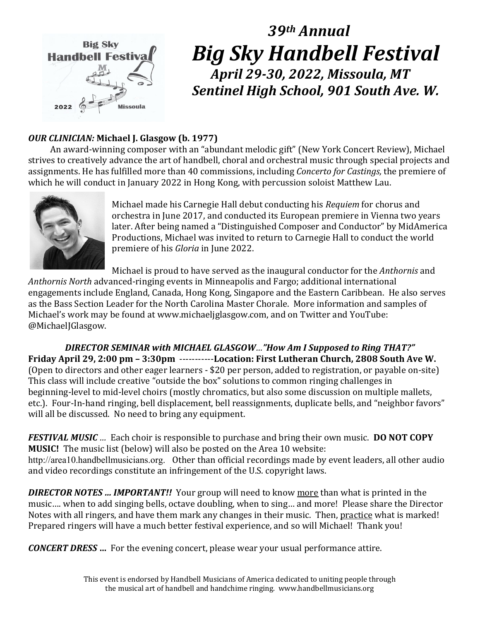

# *39th Annual Big Sky Handbell Festival April 29-30, 2022, Missoula, MT Sentinel High School, 901 South Ave. W.*

# *OUR CLINICIAN:* **Michael J. Glasgow (b. 1977)**

 An award-winning composer with an "abundant melodic gift" (New York Concert Review), Michael strives to creatively advance the art of handbell, choral and orchestral music through special projects and assignments. He has fulfilled more than 40 commissions, including *Concerto for Castings,* the premiere of which he will conduct in January 2022 in Hong Kong, with percussion soloist Matthew Lau.



Michael made his Carnegie Hall debut conducting his *Requiem* for chorus and orchestra in June 2017, and conducted its European premiere in Vienna two years later. After being named a "Distinguished Composer and Conductor" by MidAmerica Productions, Michael was invited to return to Carnegie Hall to conduct the world premiere of his *Gloria* in June 2022.

Michael is proud to have served as the inaugural conductor for the *Anthornis* and *Anthornis North* advanced-ringing events in Minneapolis and Fargo; additional international engagements include England, Canada, Hong Kong, Singapore and the Eastern Caribbean. He also serves as the Bass Section Leader for the North Carolina Master Chorale. More information and samples of Michael's work may be found at www.michaeljglasgow.com, and on Twitter and YouTube: @MichaelJGlasgow.

*DIRECTOR SEMINAR with MICHAEL GLASGOW…"How Am I Supposed to Ring THAT?"* **Friday April 29, 2:00 pm – 3:30pm** -----------**Location: First Lutheran Church, 2808 South Ave W.** (Open to directors and other eager learners - \$20 per person, added to registration, or payable on-site) This class will include creative "outside the box" solutions to common ringing challenges in beginning-level to mid-level choirs (mostly chromatics, but also some discussion on multiple mallets, etc.). Four-In-hand ringing, bell displacement, bell reassignments, duplicate bells, and "neighbor favors" will all be discussed. No need to bring any equipment.

*FESTIVAL MUSIC …* Each choir is responsible to purchase and bring their own music. **DO NOT COPY MUSIC!** The music list (below) will also be posted on the Area 10 website: http://area10.handbellmusicians.org. Other than official recordings made by event leaders, all other audio and video recordings constitute an infringement of the U.S. copyright laws.

**DIRECTOR NOTES ... IMPORTANT!!** Your group will need to know more than what is printed in the music…. when to add singing bells, octave doubling, when to sing… and more! Please share the Director Notes with all ringers, and have them mark any changes in their music. Then, practice what is marked! Prepared ringers will have a much better festival experience, and so will Michael! Thank you!

*CONCERT DRESS* **…** For the evening concert, please wear your usual performance attire.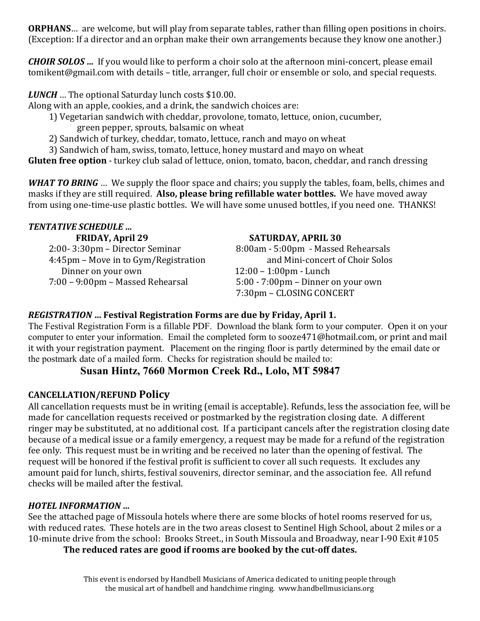**ORPHANS**… are welcome, but will play from separate tables, rather than filling open positions in choirs. (Exception: If a director and an orphan make their own arrangements because they know one another.)

*CHOIR SOLOS …* If you would like to perform a choir solo at the afternoon mini-concert, please email tomikent@gmail.com with details – title, arranger, full choir or ensemble or solo, and special requests.

*LUNCH* … The optional Saturday lunch costs \$10.00.

Along with an apple, cookies, and a drink, the sandwich choices are:

- 1) Vegetarian sandwich with cheddar, provolone, tomato, lettuce, onion, cucumber, green pepper, sprouts, balsamic on wheat
- 2) Sandwich of turkey, cheddar, tomato, lettuce, ranch and mayo on wheat
- 3) Sandwich of ham, swiss, tomato, lettuce, honey mustard and mayo on wheat

**Gluten free option** - turkey club salad of lettuce, onion, tomato, bacon, cheddar, and ranch dressing

*WHAT TO BRING* … We supply the floor space and chairs; you supply the tables, foam, bells, chimes and masks if they are still required. **Also, please bring refillable water bottles.** We have moved away from using one-time-use plastic bottles. We will have some unused bottles, if you need one. THANKS!

# *TENTATIVE SCHEDULE …*

4:45pm – Move in to Gym/Registration<br>Dinner on your own Dinner on your own 12:00 – 1:00pm - Lunch<br>7:00 – 9:00pm – Massed Rehearsal 5:00 - 7:00pm – Dinner

### **FRIDAY, April 29 SATURDAY, APRIL 30**

 2:00- 3:30pm – Director Seminar 8:00am - 5:00pm - Massed Rehearsals  $5:00 - 7:00$ pm – Dinner on your own 7:30pm – CLOSING CONCERT

# *REGISTRATION* **… Festival Registration Forms are due by Friday, April 1.**

The Festival Registration Form is a fillable PDF. Download the blank form to your computer. Open it on your computer to enter your information. Email the completed form to sooze471@hotmail.com, or print and mail it with your registration payment. Placement on the ringing floor is partly determined by the email date or the postmark date of a mailed form. Checks for registration should be mailed to:

# **Susan Hintz, 7660 Mormon Creek Rd., Lolo, MT 59847**

# **CANCELLATION/REFUND Policy**

All cancellation requests must be in writing (email is acceptable). Refunds, less the association fee, will be made for cancellation requests received or postmarked by the registration closing date. A different ringer may be substituted, at no additional cost. If a participant cancels after the registration closing date because of a medical issue or a family emergency, a request may be made for a refund of the registration fee only. This request must be in writing and be received no later than the opening of festival. The request will be honored if the festival profit is sufficient to cover all such requests. It excludes any amount paid for lunch, shirts, festival souvenirs, director seminar, and the association fee. All refund checks will be mailed after the festival.

# *HOTEL INFORMATION …*

See the attached page of Missoula hotels where there are some blocks of hotel rooms reserved for us, with reduced rates. These hotels are in the two areas closest to Sentinel High School, about 2 miles or a 10-minute drive from the school: Brooks Street., in South Missoula and Broadway, near I-90 Exit #105

**The reduced rates are good if rooms are booked by the cut-off dates.**